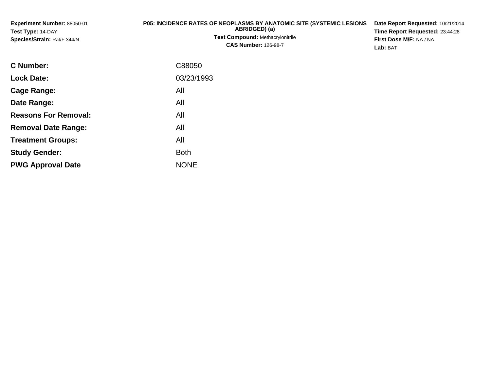| <b>Experiment Number: 88050-01</b><br><b>Test Type: 14-DAY</b><br><b>Species/Strain: Rat/F 344/N</b> | <b>P05: INCIDENCE RATES OF NEOPLASMS BY ANATOMIC SITE (SYSTEMIC LESIONS</b><br>ABRIDGED) (a)<br><b>Test Compound: Methacrylonitrile</b><br><b>CAS Number: 126-98-7</b> | Date Report Requested: 10/21/2014<br>Time Report Requested: 23:44:28<br>First Dose M/F: NA / NA<br><b>Lab: BAT</b> |
|------------------------------------------------------------------------------------------------------|------------------------------------------------------------------------------------------------------------------------------------------------------------------------|--------------------------------------------------------------------------------------------------------------------|
| $\sim$ $\sim$ $\sim$ $\sim$                                                                          | $\bigcap_{n=1}^{\infty}$                                                                                                                                               |                                                                                                                    |

| <b>C Number:</b>            | C88050      |
|-----------------------------|-------------|
| <b>Lock Date:</b>           | 03/23/1993  |
| <b>Cage Range:</b>          | All         |
| Date Range:                 | All         |
| <b>Reasons For Removal:</b> | All         |
| <b>Removal Date Range:</b>  | All         |
| <b>Treatment Groups:</b>    | All         |
| <b>Study Gender:</b>        | <b>Both</b> |
| <b>PWG Approval Date</b>    | <b>NONE</b> |
|                             |             |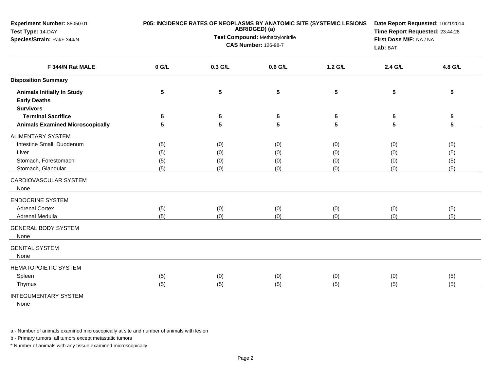| Experiment Number: 88050-01<br>Test Type: 14-DAY<br>Species/Strain: Rat/F 344/N                                                                                                                                                                    | P05: INCIDENCE RATES OF NEOPLASMS BY ANATOMIC SITE (SYSTEMIC LESIONS<br>ABRIDGED) (a)<br>Test Compound: Methacrylonitrile<br><b>CAS Number: 126-98-7</b> |                                        |                                        |                                        | Date Report Requested: 10/21/2014<br>Time Report Requested: 23:44:28<br>First Dose M/F: NA / NA<br>Lab: BAT |                                        |
|----------------------------------------------------------------------------------------------------------------------------------------------------------------------------------------------------------------------------------------------------|----------------------------------------------------------------------------------------------------------------------------------------------------------|----------------------------------------|----------------------------------------|----------------------------------------|-------------------------------------------------------------------------------------------------------------|----------------------------------------|
| F 344/N Rat MALE                                                                                                                                                                                                                                   | $0$ G/L                                                                                                                                                  | 0.3 G/L                                | $0.6$ G/L                              | $1.2$ G/L                              | 2.4 G/L                                                                                                     | 4.8 G/L                                |
| <b>Disposition Summary</b>                                                                                                                                                                                                                         |                                                                                                                                                          |                                        |                                        |                                        |                                                                                                             |                                        |
| <b>Animals Initially In Study</b><br><b>Early Deaths</b><br><b>Survivors</b>                                                                                                                                                                       | 5                                                                                                                                                        | 5                                      | 5                                      | 5                                      | 5                                                                                                           | 5                                      |
| <b>Terminal Sacrifice</b>                                                                                                                                                                                                                          | 5                                                                                                                                                        | 5                                      | 5                                      | 5                                      | 5                                                                                                           | 5                                      |
| <b>Animals Examined Microscopically</b>                                                                                                                                                                                                            | 5                                                                                                                                                        | 5                                      | 5                                      | 5                                      | 5                                                                                                           | 5                                      |
| <b>ALIMENTARY SYSTEM</b><br>Intestine Small, Duodenum<br>Liver<br>Stomach, Forestomach<br>Stomach, Glandular<br>CARDIOVASCULAR SYSTEM<br>None<br><b>ENDOCRINE SYSTEM</b><br><b>Adrenal Cortex</b><br>Adrenal Medulla<br><b>GENERAL BODY SYSTEM</b> | (5)<br>(5)<br>(5)<br>(5)<br>(5)<br>(5)                                                                                                                   | (0)<br>(0)<br>(0)<br>(0)<br>(0)<br>(0) | (0)<br>(0)<br>(0)<br>(0)<br>(0)<br>(0) | (0)<br>(0)<br>(0)<br>(0)<br>(0)<br>(0) | (0)<br>(0)<br>(0)<br>(0)<br>(0)<br>(0)                                                                      | (5)<br>(5)<br>(5)<br>(5)<br>(5)<br>(5) |
| None<br><b>GENITAL SYSTEM</b><br>None                                                                                                                                                                                                              |                                                                                                                                                          |                                        |                                        |                                        |                                                                                                             |                                        |
| <b>HEMATOPOIETIC SYSTEM</b><br>Spleen<br>Thymus                                                                                                                                                                                                    | (5)<br>(5)                                                                                                                                               | (0)<br>(5)                             | (0)<br>(5)                             | (0)<br>(5)                             | (0)<br>(5)                                                                                                  | (5)<br>(5)                             |

## INTEGUMENTARY SYSTEM

None

a - Number of animals examined microscopically at site and number of animals with lesion

b - Primary tumors: all tumors except metastatic tumors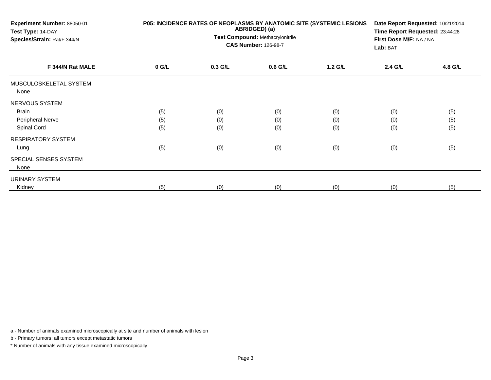| Experiment Number: 88050-01<br>Test Type: 14-DAY<br>Species/Strain: Rat/F 344/N |         | P05: INCIDENCE RATES OF NEOPLASMS BY ANATOMIC SITE (SYSTEMIC LESIONS<br>ABRIDGED) (a)<br>Test Compound: Methacrylonitrile<br><b>CAS Number: 126-98-7</b> |           |         |         |         |
|---------------------------------------------------------------------------------|---------|----------------------------------------------------------------------------------------------------------------------------------------------------------|-----------|---------|---------|---------|
| F 344/N Rat MALE                                                                | $0$ G/L | $0.3$ G/L                                                                                                                                                | $0.6$ G/L | 1.2 G/L | 2.4 G/L | 4.8 G/L |
| MUSCULOSKELETAL SYSTEM<br>None                                                  |         |                                                                                                                                                          |           |         |         |         |
| NERVOUS SYSTEM                                                                  |         |                                                                                                                                                          |           |         |         |         |
| Brain                                                                           | (5)     | (0)                                                                                                                                                      | (0)       | (0)     | (0)     | (5)     |
| Peripheral Nerve                                                                | (5)     | (0)                                                                                                                                                      | (0)       | (0)     | (0)     | (5)     |
| Spinal Cord                                                                     | (5)     | (0)                                                                                                                                                      | (0)       | (0)     | (0)     | (5)     |
| <b>RESPIRATORY SYSTEM</b>                                                       |         |                                                                                                                                                          |           |         |         |         |
| Lung                                                                            | (5)     | (0)                                                                                                                                                      | (0)       | (0)     | (0)     | (5)     |
| SPECIAL SENSES SYSTEM<br>None                                                   |         |                                                                                                                                                          |           |         |         |         |
| URINARY SYSTEM                                                                  |         |                                                                                                                                                          |           |         |         |         |
| Kidney                                                                          | (5)     | (0)                                                                                                                                                      | (0)       | (0)     | (0)     | (5)     |

a - Number of animals examined microscopically at site and number of animals with lesion

b - Primary tumors: all tumors except metastatic tumors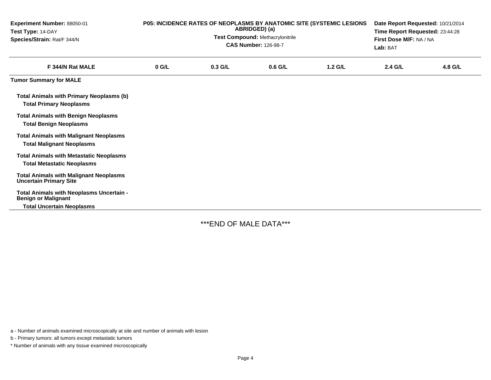| Experiment Number: 88050-01<br>Test Type: 14-DAY<br>Species/Strain: Rat/F 344/N     | P05: INCIDENCE RATES OF NEOPLASMS BY ANATOMIC SITE (SYSTEMIC LESIONS<br>ABRIDGED) (a)<br><b>Test Compound: Methacrylonitrile</b><br><b>CAS Number: 126-98-7</b> |           |           |           | Date Report Requested: 10/21/2014<br>Time Report Requested: 23:44:28<br>First Dose M/F: NA / NA<br>Lab: BAT |         |
|-------------------------------------------------------------------------------------|-----------------------------------------------------------------------------------------------------------------------------------------------------------------|-----------|-----------|-----------|-------------------------------------------------------------------------------------------------------------|---------|
| F 344/N Rat MALE                                                                    | $0$ G/L                                                                                                                                                         | $0.3$ G/L | $0.6$ G/L | $1.2$ G/L | 2.4 G/L                                                                                                     | 4.8 G/L |
| <b>Tumor Summary for MALE</b>                                                       |                                                                                                                                                                 |           |           |           |                                                                                                             |         |
| <b>Total Animals with Primary Neoplasms (b)</b><br><b>Total Primary Neoplasms</b>   |                                                                                                                                                                 |           |           |           |                                                                                                             |         |
| <b>Total Animals with Benign Neoplasms</b><br><b>Total Benign Neoplasms</b>         |                                                                                                                                                                 |           |           |           |                                                                                                             |         |
| <b>Total Animals with Malignant Neoplasms</b><br><b>Total Malignant Neoplasms</b>   |                                                                                                                                                                 |           |           |           |                                                                                                             |         |
| <b>Total Animals with Metastatic Neoplasms</b><br><b>Total Metastatic Neoplasms</b> |                                                                                                                                                                 |           |           |           |                                                                                                             |         |
| <b>Total Animals with Malignant Neoplasms</b><br><b>Uncertain Primary Site</b>      |                                                                                                                                                                 |           |           |           |                                                                                                             |         |
| Total Animals with Neoplasms Uncertain -<br><b>Benign or Malignant</b>              |                                                                                                                                                                 |           |           |           |                                                                                                             |         |
| <b>Total Uncertain Neoplasms</b>                                                    |                                                                                                                                                                 |           |           |           |                                                                                                             |         |

\*\*\*END OF MALE DATA\*\*\*

a - Number of animals examined microscopically at site and number of animals with lesion

b - Primary tumors: all tumors except metastatic tumors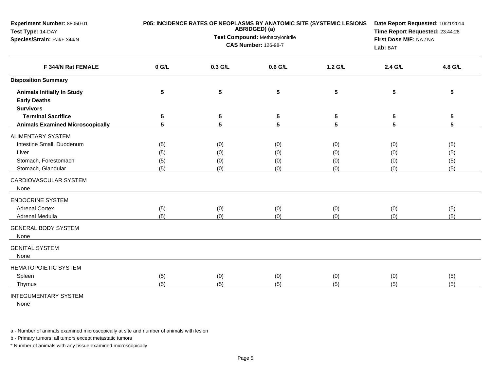| Experiment Number: 88050-01<br>Test Type: 14-DAY<br>Species/Strain: Rat/F 344/N                                                                                                                                                                    | P05: INCIDENCE RATES OF NEOPLASMS BY ANATOMIC SITE (SYSTEMIC LESIONS<br>ABRIDGED) (a)<br>Test Compound: Methacrylonitrile<br><b>CAS Number: 126-98-7</b> |                                        |                                        |                                        | Date Report Requested: 10/21/2014<br>Time Report Requested: 23:44:28<br>First Dose M/F: NA / NA<br>Lab: BAT |                                        |
|----------------------------------------------------------------------------------------------------------------------------------------------------------------------------------------------------------------------------------------------------|----------------------------------------------------------------------------------------------------------------------------------------------------------|----------------------------------------|----------------------------------------|----------------------------------------|-------------------------------------------------------------------------------------------------------------|----------------------------------------|
| F 344/N Rat FEMALE                                                                                                                                                                                                                                 | $0$ G/L                                                                                                                                                  | 0.3 G/L                                | $0.6$ G/L                              | $1.2$ G/L                              | 2.4 G/L                                                                                                     | 4.8 G/L                                |
| <b>Disposition Summary</b>                                                                                                                                                                                                                         |                                                                                                                                                          |                                        |                                        |                                        |                                                                                                             |                                        |
| <b>Animals Initially In Study</b><br><b>Early Deaths</b><br><b>Survivors</b>                                                                                                                                                                       | 5                                                                                                                                                        | 5                                      | 5                                      | 5                                      | 5                                                                                                           | 5                                      |
| <b>Terminal Sacrifice</b>                                                                                                                                                                                                                          | 5                                                                                                                                                        | 5                                      | 5                                      | 5                                      | 5                                                                                                           | 5                                      |
| <b>Animals Examined Microscopically</b>                                                                                                                                                                                                            | 5                                                                                                                                                        | 5                                      | 5                                      | 5                                      | 5                                                                                                           | 5                                      |
| <b>ALIMENTARY SYSTEM</b><br>Intestine Small, Duodenum<br>Liver<br>Stomach, Forestomach<br>Stomach, Glandular<br>CARDIOVASCULAR SYSTEM<br>None<br><b>ENDOCRINE SYSTEM</b><br><b>Adrenal Cortex</b><br>Adrenal Medulla<br><b>GENERAL BODY SYSTEM</b> | (5)<br>(5)<br>(5)<br>(5)<br>(5)<br>(5)                                                                                                                   | (0)<br>(0)<br>(0)<br>(0)<br>(0)<br>(0) | (0)<br>(0)<br>(0)<br>(0)<br>(0)<br>(0) | (0)<br>(0)<br>(0)<br>(0)<br>(0)<br>(0) | (0)<br>(0)<br>(0)<br>(0)<br>(0)<br>(0)                                                                      | (5)<br>(5)<br>(5)<br>(5)<br>(5)<br>(5) |
| None<br><b>GENITAL SYSTEM</b><br>None                                                                                                                                                                                                              |                                                                                                                                                          |                                        |                                        |                                        |                                                                                                             |                                        |
| <b>HEMATOPOIETIC SYSTEM</b><br>Spleen<br>Thymus                                                                                                                                                                                                    | (5)<br>(5)                                                                                                                                               | (0)<br>(5)                             | (0)<br>(5)                             | (0)<br>(5)                             | (0)<br>(5)                                                                                                  | (5)<br>(5)                             |

## INTEGUMENTARY SYSTEM

None

a - Number of animals examined microscopically at site and number of animals with lesion

b - Primary tumors: all tumors except metastatic tumors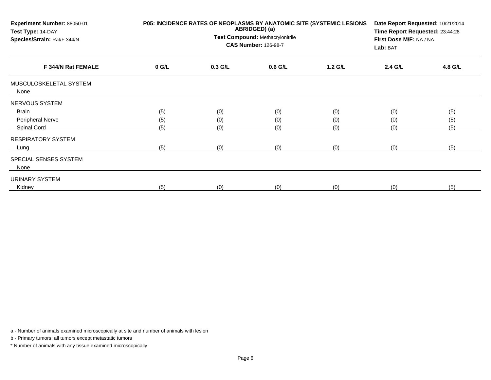| Experiment Number: 88050-01<br>Test Type: 14-DAY<br>Species/Strain: Rat/F 344/N | P05: INCIDENCE RATES OF NEOPLASMS BY ANATOMIC SITE (SYSTEMIC LESIONS | Date Report Requested: 10/21/2014<br>Time Report Requested: 23:44:28<br>First Dose M/F: NA / NA<br>Lab: BAT |           |         |         |         |
|---------------------------------------------------------------------------------|----------------------------------------------------------------------|-------------------------------------------------------------------------------------------------------------|-----------|---------|---------|---------|
| F 344/N Rat FEMALE                                                              | $0$ G/L                                                              | $0.3$ G/L                                                                                                   | $0.6$ G/L | 1.2 G/L | 2.4 G/L | 4.8 G/L |
| MUSCULOSKELETAL SYSTEM<br>None                                                  |                                                                      |                                                                                                             |           |         |         |         |
| NERVOUS SYSTEM                                                                  |                                                                      |                                                                                                             |           |         |         |         |
| Brain                                                                           | (5)                                                                  | (0)                                                                                                         | (0)       | (0)     | (0)     | (5)     |
| Peripheral Nerve                                                                | (5)                                                                  | (0)                                                                                                         | (0)       | (0)     | (0)     | (5)     |
| Spinal Cord                                                                     | (5)                                                                  | (0)                                                                                                         | (0)       | (0)     | (0)     | (5)     |
| <b>RESPIRATORY SYSTEM</b>                                                       |                                                                      |                                                                                                             |           |         |         |         |
| Lung                                                                            | (5)                                                                  | (0)                                                                                                         | (0)       | (0)     | (0)     | (5)     |
| SPECIAL SENSES SYSTEM<br>None                                                   |                                                                      |                                                                                                             |           |         |         |         |
| URINARY SYSTEM                                                                  |                                                                      |                                                                                                             |           |         |         |         |
| Kidney                                                                          | (5)                                                                  | (0)                                                                                                         | (0)       | (0)     | (0)     | (5)     |

a - Number of animals examined microscopically at site and number of animals with lesion

b - Primary tumors: all tumors except metastatic tumors